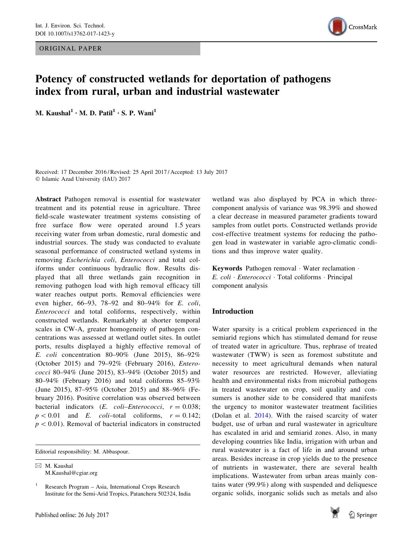ORIGINAL PAPER



# Potency of constructed wetlands for deportation of pathogens index from rural, urban and industrial wastewater

M. Kaushal<sup>1</sup> · M. D. Patil<sup>1</sup> · S. P. Wani<sup>1</sup>

Received: 17 December 2016 / Revised: 25 April 2017 / Accepted: 13 July 2017 - Islamic Azad University (IAU) 2017

Abstract Pathogen removal is essential for wastewater treatment and its potential reuse in agriculture. Three field-scale wastewater treatment systems consisting of free surface flow were operated around 1.5 years receiving water from urban domestic, rural domestic and industrial sources. The study was conducted to evaluate seasonal performance of constructed wetland systems in removing Escherichia coli, Enterococci and total coliforms under continuous hydraulic flow. Results displayed that all three wetlands gain recognition in removing pathogen load with high removal efficacy till water reaches output ports. Removal efficiencies were even higher, 66–93, 78–92 and 80–94% for E. coli, Enterococci and total coliforms, respectively, within constructed wetlands. Remarkably at shorter temporal scales in CW-A, greater homogeneity of pathogen concentrations was assessed at wetland outlet sites. In outlet ports, results displayed a highly effective removal of E. coli concentration 80–90% (June 2015), 86–92% (October 2015) and 79–92% (February 2016), Enterococci 80–94% (June 2015), 83–94% (October 2015) and 80–94% (February 2016) and total coliforms 85–93% (June 2015), 87–95% (October 2015) and 88–96% (February 2016). Positive correlation was observed between bacterial indicators (*E. coli–Enterococci*,  $r = 0.038$ ;  $p < 0.01$  and E. coli-total coliforms,  $r = 0.142$ ;  $p < 0.01$ ). Removal of bacterial indicators in constructed

Editorial responsibility: M. Abbaspour.

 $\boxtimes$  M. Kaushal M.Kaushal@cgiar.org

<sup>1</sup> Research Program – Asia, International Crops Research Institute for the Semi-Arid Tropics, Patancheru 502324, India

wetland was also displayed by PCA in which threecomponent analysis of variance was 98.39% and showed a clear decrease in measured parameter gradients toward samples from outlet ports. Constructed wetlands provide cost-effective treatment systems for reducing the pathogen load in wastewater in variable agro-climatic conditions and thus improve water quality.

Keywords Pathogen removal · Water reclamation · E. coli · Enterococci · Total coliforms · Principal component analysis

# Introduction

Water sparsity is a critical problem experienced in the semiarid regions which has stimulated demand for reuse of treated water in agriculture. Thus, rephrase of treated wastewater (TWW) is seen as foremost substitute and necessity to meet agricultural demands when natural water resources are restricted. However, alleviating health and environmental risks from microbial pathogens in treated wastewater on crop, soil quality and consumers is another side to be considered that manifests the urgency to monitor wastewater treatment facilities (Dolan et al. [2014](#page-10-0)). With the raised scarcity of water budget, use of urban and rural wastewater in agriculture has escalated in arid and semiarid zones. Also, in many developing countries like India, irrigation with urban and rural wastewater is a fact of life in and around urban areas. Besides increase in crop yields due to the presence of nutrients in wastewater, there are several health implications. Wastewater from urban areas mainly contains water (99.9%) along with suspended and deliquesce organic solids, inorganic solids such as metals and also

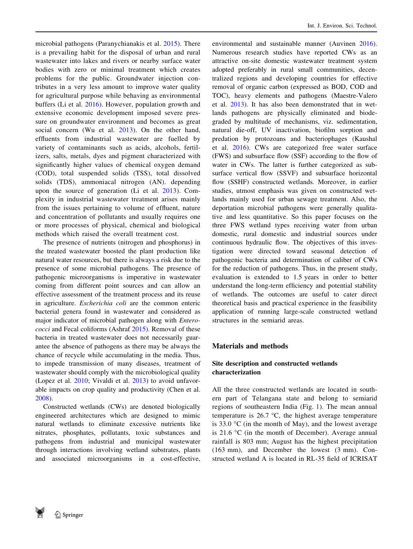microbial pathogens (Paranychianakis et al. [2015](#page-10-0)). There is a prevailing habit for the disposal of urban and rural wastewater into lakes and rivers or nearby surface water bodies with zero or minimal treatment which creates problems for the public. Groundwater injection contributes in a very less amount to improve water quality for agricultural purpose while behaving as environmental buffers (Li et al. [2016](#page-10-0)). However, population growth and extensive economic development imposed severe pressure on groundwater environment and becomes as great social concern (Wu et al. [2013\)](#page-11-0). On the other hand, effluents from industrial wastewater are fuelled by variety of contaminants such as acids, alcohols, fertilizers, salts, metals, dyes and pigment characterized with significantly higher values of chemical oxygen demand (COD), total suspended solids (TSS), total dissolved solids (TDS), ammoniacal nitrogen (AN). depending upon the source of generation (Li et al. [2013\)](#page-10-0). Complexity in industrial wastewater treatment arises mainly from the issues pertaining to volume of effluent, nature and concentration of pollutants and usually requires one or more processes of physical, chemical and biological methods which raised the overall treatment cost.

The presence of nutrients (nitrogen and phosphorus) in the treated wastewater boosted the plant production like natural water resources, but there is always a risk due to the presence of some microbial pathogens. The presence of pathogenic microorganisms is imperative in wastewater coming from different point sources and can allow an effective assessment of the treatment process and its reuse in agriculture. Escherichia coli are the common enteric bacterial genera found in wastewater and considered as major indicator of microbial pathogen along with Enterococci and Fecal coliforms (Ashraf [2015](#page-10-0)). Removal of these bacteria in treated wastewater does not necessarily guarantee the absence of pathogens as there may be always the chance of recycle while accumulating in the media. Thus, to impede transmission of many diseases, treatment of wastewater should comply with the microbiological quality (Lopez et al. [2010;](#page-10-0) Vivaldi et al. [2013\)](#page-10-0) to avoid unfavorable impacts on crop quality and productivity (Chen et al. [2008\)](#page-10-0).

Constructed wetlands (CWs) are denoted biologically engineered architectures which are designed to mimic natural wetlands to eliminate excessive nutrients like nitrates, phosphates, pollutants, toxic substances and pathogens from industrial and municipal wastewater through interactions involving wetland substrates, plants and associated microorganisms in a cost-effective, environmental and sustainable manner (Auvinen [2016](#page-10-0)). Numerous research studies have reported CWs as an attractive on-site domestic wastewater treatment system adopted preferably in rural small communities, decentralized regions and developing countries for effective removal of organic carbon (expressed as BOD, COD and TOC), heavy elements and pathogens (Maestre-Valero et al. [2013](#page-10-0)). It has also been demonstrated that in wetlands pathogens are physically eliminated and biodegraded by multitude of mechanisms, viz. sedimentation, natural die-off, UV inactivation, biofilm sorption and predation by protozoans and bacteriophages (Kaushal et al. [2016\)](#page-10-0). CWs are categorized free water surface (FWS) and subsurface flow (SSF) according to the flow of water in CWs. The latter is further categorized as subsurface vertical flow (SSVF) and subsurface horizontal flow (SSHF) constructed wetlands. Moreover, in earlier studies, utmost emphasis was given on constructed wetlands mainly used for urban sewage treatment. Also, the deportation microbial pathogens were generally qualitative and less quantitative. So this paper focuses on the three FWS wetland types receiving water from urban domestic, rural domestic and industrial sources under continuous hydraulic flow. The objectives of this investigation were directed toward seasonal detection of pathogenic bacteria and determination of caliber of CWs for the reduction of pathogens. Thus, in the present study, evaluation is extended to 1.5 years in order to better understand the long-term efficiency and potential stability of wetlands. The outcomes are useful to cater direct theoretical basis and practical experience in the feasibility application of running large-scale constructed wetland structures in the semiarid areas.

# Materials and methods

# Site description and constructed wetlands characterization

All the three constructed wetlands are located in southern part of Telangana state and belong to semiarid regions of southeastern India (Fig. [1](#page-2-0)). The mean annual temperature is  $26.7 \text{ °C}$ , the highest average temperature is 33.0  $\degree$ C (in the month of May), and the lowest average is  $21.6 \degree$ C (in the month of December). Average annual rainfall is 803 mm; August has the highest precipitation (163 mm), and December the lowest (3 mm). Constructed wetland A is located in RL-35 field of ICRISAT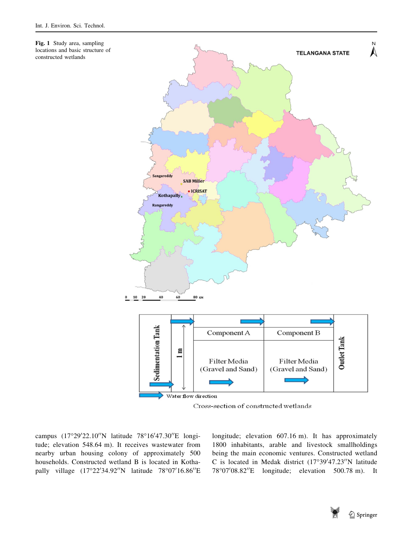<span id="page-2-0"></span>Fig. 1 Study area, sampling locations and basic structure of constructed wetlands



campus (17°29'22.10"N latitude 78°16'47.30"E longitude; elevation 548.64 m). It receives wastewater from nearby urban housing colony of approximately 500 households. Constructed wetland B is located in Kothapally village (17°22'34.92"N latitude 78°07'16.86"E

longitude; elevation 607.16 m). It has approximately 1800 inhabitants, arable and livestock smallholdings being the main economic ventures. Constructed wetland C is located in Medak district  $(17°39'47.23''N$  latitude 78°07'08.82"E longitude; elevation 500.78 m). It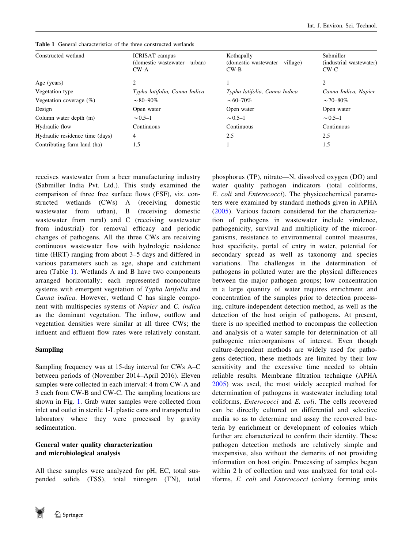| Constructed wetland             | <b>ICRISAT</b> campus<br>(domestic wastewater—urban)<br>$CW-A$ | Kothapally<br>(domestic wastewater—village)<br>$CW-B$ | Sabmiller<br>(industrial wastewater)<br>$CW-C$ |
|---------------------------------|----------------------------------------------------------------|-------------------------------------------------------|------------------------------------------------|
| Age (years)                     |                                                                |                                                       | 2                                              |
| Vegetation type                 | Typha latifolia, Canna Indica                                  | Typha latifolia, Canna Indica                         | Canna Indica, Napier                           |
| Vegetation coverage $(\%)$      | $\sim 80 - 90\%$                                               | $\sim 60 - 70\%$                                      | $\sim$ 70–80%                                  |
| Design                          | Open water                                                     | Open water                                            | Open water                                     |
| Column water depth (m)          | $\sim 0.5 - 1$                                                 | $\sim 0.5 - 1$                                        | $\sim 0.5 - 1$                                 |
| Hydraulic flow                  | Continuous                                                     | Continuous                                            | Continuous                                     |
| Hydraulic residence time (days) | 4                                                              | 2.5                                                   | 2.5                                            |
| Contributing farm land (ha)     | 1.5                                                            |                                                       | 1.5                                            |

Table 1 General characteristics of the three constructed wetlands

receives wastewater from a beer manufacturing industry (Sabmiller India Pvt. Ltd.). This study examined the comparison of three free surface flows (FSF), viz. constructed wetlands (CWs) A (receiving domestic wastewater from urban), B (receiving domestic wastewater from rural) and C (receiving wastewater from industrial) for removal efficacy and periodic changes of pathogens. All the three CWs are receiving continuous wastewater flow with hydrologic residence time (HRT) ranging from about 3–5 days and differed in various parameters such as age, shape and catchment area (Table 1). Wetlands A and B have two components arranged horizontally; each represented monoculture systems with emergent vegetation of Typha latifolia and Canna indica. However, wetland C has single component with multispecies systems of Napier and C. indica as the dominant vegetation. The inflow, outflow and vegetation densities were similar at all three CWs; the influent and effluent flow rates were relatively constant.

# Sampling

Sampling frequency was at 15-day interval for CWs A–C between periods of (November 2014–April 2016). Eleven samples were collected in each interval: 4 from CW-A and 3 each from CW-B and CW-C. The sampling locations are shown in Fig. [1.](#page-2-0) Grab water samples were collected from inlet and outlet in sterile 1-L plastic cans and transported to laboratory where they were processed by gravity sedimentation.

# General water quality characterization and microbiological analysis

All these samples were analyzed for pH, EC, total suspended solids (TSS), total nitrogen (TN), total



phosphorus (TP), nitrate—N, dissolved oxygen (DO) and

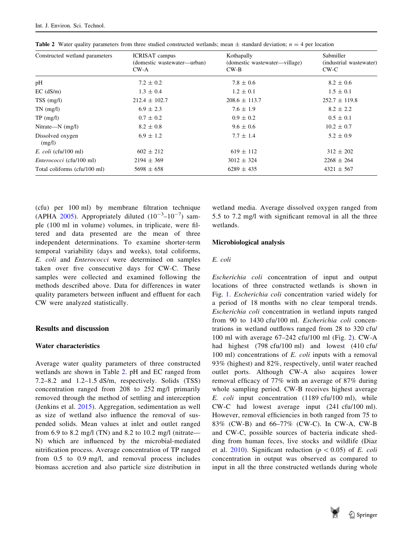| Constructed wetland parameters  | <b>ICRISAT</b> campus<br>(domestic wastewater—urban)<br>$CW-A$ | Kothapally<br>(domestic wastewater—village)<br>$CW-B$ | Sabmiller<br>(industrial wastewater)<br>$CW-C$ |
|---------------------------------|----------------------------------------------------------------|-------------------------------------------------------|------------------------------------------------|
| pH                              | $7.2 \pm 0.2$                                                  | $7.8 \pm 0.6$                                         | $8.2 \pm 0.6$                                  |
| $EC$ ( $dS/m$ )                 | $1.3 \pm 0.4$                                                  | $1.2 \pm 0.1$                                         | $1.5 \pm 0.1$                                  |
| $TSS$ (mg/l)                    | $212.4 \pm 102.7$                                              | $208.6 \pm 113.7$                                     | $252.7 \pm 119.8$                              |
| $TN$ (mg/l)                     | $6.9 \pm 2.3$                                                  | $7.6 \pm 1.9$                                         | $8.2 \pm 2.2$                                  |
| $TP \text{ (mg/l)}$             | $0.7 \pm 0.2$                                                  | $0.9 \pm 0.2$                                         | $0.5 \pm 0.1$                                  |
| Nitrate— $N$ (mg/l)             | $8.2 \pm 0.8$                                                  | $9.6 \pm 0.6$                                         | $10.2 \pm 0.7$                                 |
| Dissolved oxygen<br>(mg/l)      | $6.9 \pm 1.2$                                                  | $7.7 \pm 1.4$                                         | $5.2 \pm 0.9$                                  |
| $E.$ coli (cfu/100 ml)          | $602 \pm 212$                                                  | $619 \pm 112$                                         | $312 \pm 202$                                  |
| <i>Enterococci</i> (cfu/100 ml) | $2194 \pm 369$                                                 | $3012 \pm 324$                                        | $2268 \pm 264$                                 |
| Total coliforms (cfu/100 ml)    | $5698 \pm 658$                                                 | $6289 \pm 435$                                        | $4321 \pm 567$                                 |

**Table 2** Water quality parameters from three studied constructed wetlands; mean  $\pm$  standard deviation;  $n = 4$  per location

(cfu) per 100 ml) by membrane filtration technique (APHA [2005\)](#page-10-0). Appropriately diluted  $(10^{-3} - 10^{-7})$  sample (100 ml in volume) volumes, in triplicate, were filtered and data presented are the mean of three independent determinations. To examine shorter-term temporal variability (days and weeks), total coliforms, E. coli and Enterococci were determined on samples taken over five consecutive days for CW-C. These samples were collected and examined following the methods described above. Data for differences in water quality parameters between influent and effluent for each CW were analyzed statistically.

### Results and discussion

### Water characteristics

Average water quality parameters of three constructed wetlands are shown in Table 2. pH and EC ranged from 7.2–8.2 and 1.2–1.5 dS/m, respectively. Solids (TSS) concentration ranged from 208 to 252 mg/l primarily removed through the method of settling and interception (Jenkins et al. [2015\)](#page-10-0). Aggregation, sedimentation as well as size of wetland also influence the removal of suspended solids. Mean values at inlet and outlet ranged from 6.9 to 8.2 mg/l (TN) and 8.2 to 10.2 mg/l (nitrate— N) which are influenced by the microbial-mediated nitrification process. Average concentration of TP ranged from 0.5 to 0.9 mg/l, and removal process includes biomass accretion and also particle size distribution in

wetland media. Average dissolved oxygen ranged from 5.5 to 7.2 mg/l with significant removal in all the three wetlands.

### Microbiological analysis

#### E. coli

Escherichia coli concentration of input and output locations of three constructed wetlands is shown in Fig. [1.](#page-2-0) Escherichia coli concentration varied widely for a period of 18 months with no clear temporal trends. Escherichia coli concentration in wetland inputs ranged from 90 to 1430 cfu/100 ml. Escherichia coli concentrations in wetland outflows ranged from 28 to 320 cfu/ 100 ml with average 67–242 cfu/100 ml (Fig. [2\)](#page-5-0). CW-A had highest (798 cfu/100 ml) and lowest (410 cfu/ 100 ml) concentrations of E. coli inputs with a removal 93% (highest) and 82%, respectively, until water reached outlet ports. Although CW-A also acquires lower removal efficacy of 77% with an average of 87% during whole sampling period. CW-B receives highest average E. coli input concentration (1189 cfu/100 ml), while CW-C had lowest average input (241 cfu/100 ml). However, removal efficiencies in both ranged from 75 to 83% (CW-B) and 66–77% (CW-C). In CW-A, CW-B and CW-C, possible sources of bacteria indicate shedding from human feces, live stocks and wildlife (Diaz et al. [2010\)](#page-10-0). Significant reduction ( $p < 0.05$ ) of E. coli concentration in output was observed as compared to input in all the three constructed wetlands during whole

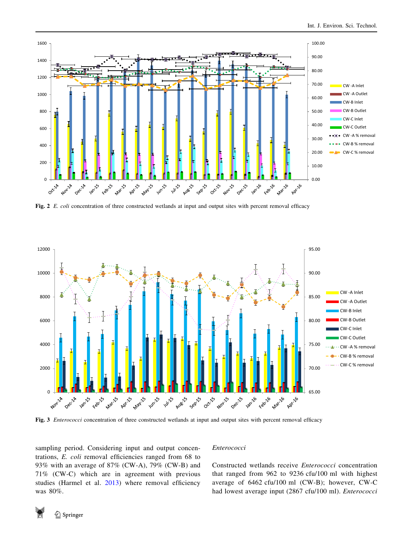<span id="page-5-0"></span>

Fig. 2 E. coli concentration of three constructed wetlands at input and output sites with percent removal efficacy



Fig. 3 *Enterococci* concentration of three constructed wetlands at input and output sites with percent removal efficacy

sampling period. Considering input and output concentrations, E. coli removal efficiencies ranged from 68 to 93% with an average of 87% (CW-A), 79% (CW-B) and 71% (CW-C) which are in agreement with previous studies (Harmel et al. [2013\)](#page-10-0) where removal efficiency was 80%.

### Enterococci

Constructed wetlands receive Enterococci concentration that ranged from 962 to 9236 cfu/100 ml with highest average of 6462 cfu/100 ml (CW-B); however, CW-C had lowest average input (2867 cfu/100 ml). Enterococci

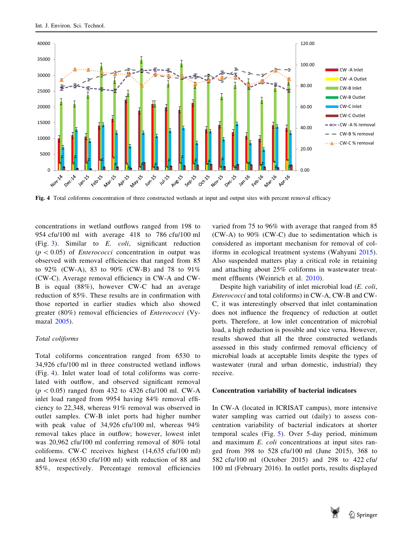

Fig. 4 Total coliforms concentration of three constructed wetlands at input and output sites with percent removal efficacy

concentrations in wetland outflows ranged from 198 to 954 cfu/100 ml with average 418 to 786 cfu/100 ml (Fig. [3](#page-5-0)). Similar to  $E$ . *coli*, significant reduction  $(p \lt 0.05)$  of *Enterococci* concentration in output was observed with removal efficiencies that ranged from 85 to 92% (CW-A), 83 to 90% (CW-B) and 78 to 91% (CW-C). Average removal efficiency in CW-A and CW-B is equal (88%), however CW-C had an average reduction of 85%. These results are in confirmation with those reported in earlier studies which also showed greater (80%) removal efficiencies of Enterococci (Vymazal [2005\)](#page-10-0).

### Total coliforms

Total coliforms concentration ranged from 6530 to 34,926 cfu/100 ml in three constructed wetland inflows (Fig. 4). Inlet water load of total coliforms was correlated with outflow, and observed significant removal  $(p \lt 0.05)$  ranged from 432 to 4326 cfu/100 ml. CW-A inlet load ranged from 9954 having 84% removal efficiency to 22,348, whereas 91% removal was observed in outlet samples. CW-B inlet ports had higher number with peak value of 34,926 cfu/100 ml, whereas 94% removal takes place in outflow; however, lowest inlet was 20,962 cfu/100 ml conferring removal of 80% total coliforms. CW-C receives highest (14,635 cfu/100 ml) and lowest (6530 cfu/100 ml) with reduction of 88 and 85%, respectively. Percentage removal efficiencies

varied from 75 to 96% with average that ranged from 85 (CW-A) to 90% (CW-C) due to sedimentation which is considered as important mechanism for removal of coliforms in ecological treatment systems (Wahyuni [2015](#page-10-0)). Also suspended matters play a critical role in retaining and attaching about 25% coliforms in wastewater treatment effluents (Weinrich et al. [2010](#page-11-0)).

Despite high variability of inlet microbial load (E. coli, Enterococci and total coliforms) in CW-A, CW-B and CW-C, it was interestingly observed that inlet contamination does not influence the frequency of reduction at outlet ports. Therefore, at low inlet concentration of microbial load, a high reduction is possible and vice versa. However, results showed that all the three constructed wetlands assessed in this study confirmed removal efficiency of microbial loads at acceptable limits despite the types of wastewater (rural and urban domestic, industrial) they receive.

### Concentration variability of bacterial indicators

In CW-A (located in ICRISAT campus), more intensive water sampling was carried out (daily) to assess concentration variability of bacterial indicators at shorter temporal scales (Fig. [5](#page-7-0)). Over 5-day period, minimum and maximum E. coli concentrations at input sites ranged from 398 to 528 cfu/100 ml (June 2015), 368 to 582 cfu/100 ml (October 2015) and 298 to 422 cfu/ 100 ml (February 2016). In outlet ports, results displayed

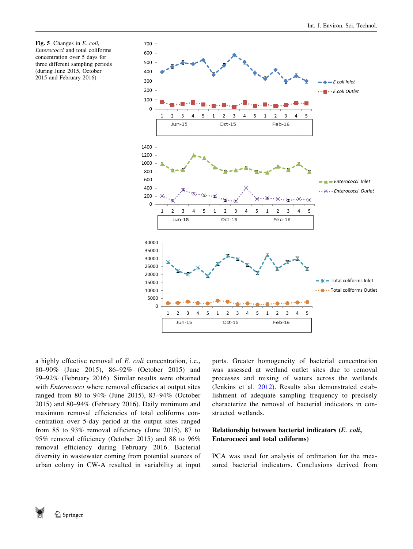<span id="page-7-0"></span>Fig. 5 Changes in E. coli, Enterococci and total coliforms concentration over 5 days for three different sampling periods (during June 2015, October 2015 and February 2016)



a highly effective removal of E. coli concentration, i.e., 80–90% (June 2015), 86–92% (October 2015) and 79–92% (February 2016). Similar results were obtained with *Enterococci* where removal efficacies at output sites ranged from 80 to 94% (June 2015), 83–94% (October 2015) and 80–94% (February 2016). Daily minimum and maximum removal efficiencies of total coliforms concentration over 5-day period at the output sites ranged from 85 to 93% removal efficiency (June 2015), 87 to 95% removal efficiency (October 2015) and 88 to 96% removal efficiency during February 2016. Bacterial diversity in wastewater coming from potential sources of urban colony in CW-A resulted in variability at input ports. Greater homogeneity of bacterial concentration was assessed at wetland outlet sites due to removal processes and mixing of waters across the wetlands (Jenkins et al. [2012\)](#page-10-0). Results also demonstrated establishment of adequate sampling frequency to precisely characterize the removal of bacterial indicators in constructed wetlands.

# Relationship between bacterial indicators (E. coli, Enterococci and total coliforms)

PCA was used for analysis of ordination for the measured bacterial indicators. Conclusions derived from

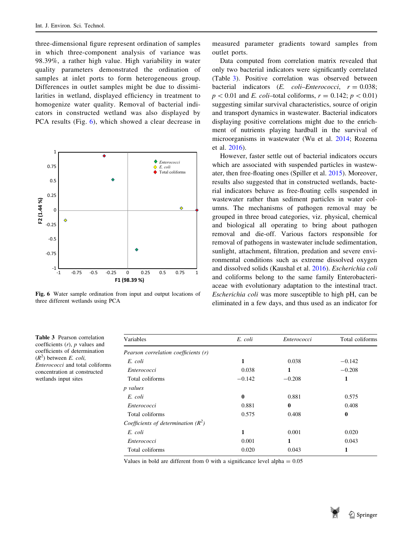three-dimensional figure represent ordination of samples in which three-component analysis of variance was 98.39%, a rather high value. High variability in water quality parameters demonstrated the ordination of samples at inlet ports to form heterogeneous group. Differences in outlet samples might be due to dissimilarities in wetland, displayed efficiency in treatment to homogenize water quality. Removal of bacterial indicators in constructed wetland was also displayed by PCA results (Fig. 6), which showed a clear decrease in



Fig. 6 Water sample ordination from input and output locations of three different wetlands using PCA

Table 3 Pearson correlation coefficients  $(r)$ ,  $p$  values and coefficients of determination  $(R<sup>2</sup>)$  between E. coli,

Enterococci and total coliforms concentration at constructed wetlands input sites

measured parameter gradients toward samples from outlet ports.

Data computed from correlation matrix revealed that only two bacterial indicators were significantly correlated (Table 3). Positive correlation was observed between bacterial indicators  $(E. \text{coli}-Enterococci, r = 0.038;$  $p \lt 0.01$  and E. coli–total coliforms,  $r = 0.142$ ;  $p \lt 0.01$ ) suggesting similar survival characteristics, source of origin and transport dynamics in wastewater. Bacterial indicators displaying positive correlations might due to the enrichment of nutrients playing hardball in the survival of microorganisms in wastewater (Wu et al. [2014](#page-11-0); Rozema et al. [2016\)](#page-10-0).

However, faster settle out of bacterial indicators occurs which are associated with suspended particles in wastewater, then free-floating ones (Spiller et al. [2015\)](#page-10-0). Moreover, results also suggested that in constructed wetlands, bacterial indicators behave as free-floating cells suspended in wastewater rather than sediment particles in water columns. The mechanisms of pathogen removal may be grouped in three broad categories, viz. physical, chemical and biological all operating to bring about pathogen removal and die-off. Various factors responsible for removal of pathogens in wastewater include sedimentation, sunlight, attachment, filtration, predation and severe environmental conditions such as extreme dissolved oxygen and dissolved solids (Kaushal et al. [2016](#page-10-0)). Escherichia coli and coliforms belong to the same family Enterobacteriaceae with evolutionary adaptation to the intestinal tract. Escherichia coli was more susceptible to high pH, can be eliminated in a few days, and thus used as an indicator for

| Variables                             | E. coli     | Enterococci | Total coliforms |
|---------------------------------------|-------------|-------------|-----------------|
| Pearson correlation coefficients (r)  |             |             |                 |
| E. coli                               | 1           | 0.038       | $-0.142$        |
| Enterococci                           | 0.038       | 1           | $-0.208$        |
| Total coliforms                       | $-0.142$    | $-0.208$    | 1               |
| <i>p</i> values                       |             |             |                 |
| E. coli                               | $\mathbf 0$ | 0.881       | 0.575           |
| Enterococci                           | 0.881       | $\bf{0}$    | 0.408           |
| Total coliforms                       | 0.575       | 0.408       | $\bf{0}$        |
| Coefficients of determination $(R^2)$ |             |             |                 |
| E. coli                               | 1           | 0.001       | 0.020           |
| Enterococci                           | 0.001       | 1           | 0.043           |
| Total coliforms                       | 0.020       | 0.043       | 1               |

Values in bold are different from 0 with a significance level alpha  $= 0.05$ 

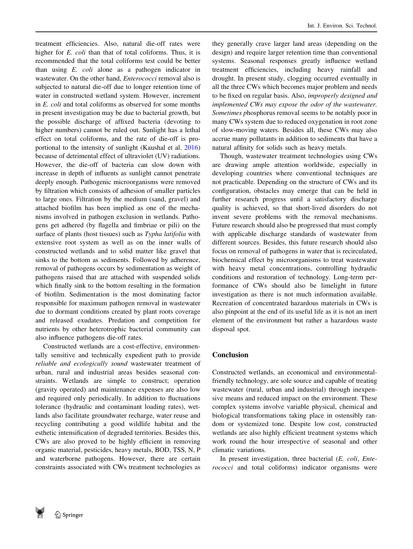treatment efficiencies. Also, natural die-off rates were higher for E. coli than that of total coliforms. Thus, it is recommended that the total coliforms test could be better than using E. coli alone as a pathogen indicator in wastewater. On the other hand, Enterococci removal also is subjected to natural die-off due to longer retention time of water in constructed wetland system. However, increment in E. coli and total coliforms as observed for some months in present investigation may be due to bacterial growth, but the possible discharge of affixed bacteria (devoting to higher numbers) cannot be ruled out. Sunlight has a lethal effect on total coliforms, and the rate of die-off is proportional to the intensity of sunlight (Kaushal et al. [2016\)](#page-10-0) because of detrimental effect of ultraviolet (UV) radiations. However, the die-off of bacteria can slow down with increase in depth of influents as sunlight cannot penetrate deeply enough. Pathogenic microorganisms were removed by filtration which consists of adhesion of smaller particles to large ones. Filtration by the medium (sand, gravel) and attached biofilm has been implied as one of the mechanisms involved in pathogen exclusion in wetlands. Pathogens get adhered (by flagella and fimbriae or pili) on the surface of plants (host tissues) such as Typha latifolia with extensive root system as well as on the inner walls of constructed wetlands and to solid matter like gravel that sinks to the bottom as sediments. Followed by adherence, removal of pathogens occurs by sedimentation as weight of pathogens raised that are attached with suspended solids which finally sink to the bottom resulting in the formation of biofilm. Sedimentation is the most dominating factor responsible for maximum pathogen removal in wastewater due to dormant conditions created by plant roots coverage and released exudates. Predation and competition for nutrients by other heterotrophic bacterial community can also influence pathogens die-off rates.

Constructed wetlands are a cost-effective, environmentally sensitive and technically expedient path to provide reliable and ecologically sound wastewater treatment of urban, rural and industrial areas besides seasonal constraints. Wetlands are simple to construct; operation (gravity operated) and maintenance expenses are also low and required only periodically. In addition to fluctuations tolerance (hydraulic and contaminant loading rates), wetlands also facilitate groundwater recharge, water reuse and recycling contributing a good wildlife habitat and the esthetic intensification of degraded territories. Besides this, CWs are also proved to be highly efficient in removing organic material, pesticides, heavy metals, BOD, TSS, N, P and waterborne pathogens. However, there are certain constraints associated with CWs treatment technologies as

they generally crave larger land areas (depending on the design) and require larger retention time than conventional systems. Seasonal responses greatly influence wetland treatment efficiencies, including heavy rainfall and drought. In present study, clogging occurred eventually in all the three CWs which becomes major problem and needs to be fixed on regular basis. Also, improperly designed and implemented CWs may expose the odor of the wastewater. Sometimes phosphorus removal seems to be notably poor in many CWs system due to reduced oxygenation in root zone of slow-moving waters. Besides all, these CWs may also accrue many pollutants in addition to sediments that have a natural affinity for solids such as heavy metals.

Though, wastewater treatment technologies using CWs are drawing ample attention worldwide, especially in developing countries where conventional techniques are not practicable. Depending on the structure of CWs and its configuration, obstacles may emerge that can be held in further research progress until a satisfactory discharge quality is achieved, so that short-lived disorders do not invent severe problems with the removal mechanisms. Future research should also be progressed that must comply with applicable discharge standards of wastewater from different sources. Besides, this future research should also focus on removal of pathogens in water that is recirculated, biochemical effect by microorganisms to treat wastewater with heavy metal concentrations, controlling hydraulic conditions and restoration of technology. Long-term performance of CWs should also be limelight in future investigation as there is not much information available. Recreation of concentrated hazardous materials in CWs is also pinpoint at the end of its useful life as it is not an inert element of the environment but rather a hazardous waste disposal spot.

# Conclusion

Constructed wetlands, an economical and environmentalfriendly technology, are sole source and capable of treating wastewater (rural, urban and industrial) through inexpensive means and reduced impact on the environment. These complex systems involve variable physical, chemical and biological transformations taking place in ostensibly random or systemized tone. Despite low cost, constructed wetlands are also highly efficient treatment systems which work round the hour irrespective of seasonal and other climatic variations.

In present investigation, three bacterial (E. coli, Enterococci and total coliforms) indicator organisms were

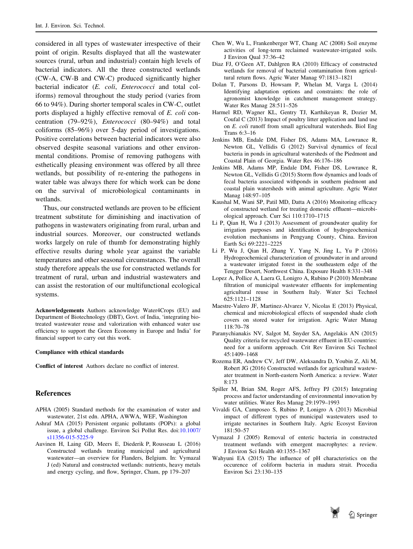<span id="page-10-0"></span>considered in all types of wastewater irrespective of their point of origin. Results displayed that all the wastewater sources (rural, urban and industrial) contain high levels of bacterial indicators. All the three constructed wetlands (CW-A, CW-B and CW-C) produced significantly higher bacterial indicator (E. coli, Enterococci and total coliforms) removal throughout the study period (varies from 66 to 94%). During shorter temporal scales in CW-C, outlet ports displayed a highly effective removal of E. coli concentration (79–92%), Enterococci (80–94%) and total coliforms (85–96%) over 5-day period of investigations. Positive correlations between bacterial indicators were also observed despite seasonal variations and other environmental conditions. Promise of removing pathogens with esthetically pleasing environment was offered by all three wetlands, but possibility of re-entering the pathogens in water table was always there for which work can be done on the survival of microbiological contaminants in wetlands.

Thus, our constructed wetlands are proven to be efficient treatment substitute for diminishing and inactivation of pathogens in wastewaters originating from rural, urban and industrial sources. Moreover, our constructed wetlands works largely on rule of thumb for demonstrating highly effective results during whole year against the variable temperatures and other seasonal circumstances. The overall study therefore appeals the use for constructed wetlands for treatment of rural, urban and industrial wastewaters and can assist the restoration of our multifunctional ecological systems.

Acknowledgements Authors acknowledge Water4Crops (EU) and Department of Biotechnology (DBT), Govt. of India, 'integrating biotreated wastewater reuse and valorization with enhanced water use efficiency to support the Green Economy in Europe and India' for financial support to carry out this work.

#### Compliance with ethical standards

Conflict of interest Authors declare no conflict of interest.

### References

- APHA (2005) Standard methods for the examination of water and wastewater, 21st edn. APHA, AWWA, WEF, Washington
- Ashraf MA (2015) Persistent organic pollutants (POPs): a global issue, a global challenge. Environ Sci Pollut Res. doi[:10.1007/](http://dx.doi.org/10.1007/s11356-015-5225-9) [s11356-015-5225-9](http://dx.doi.org/10.1007/s11356-015-5225-9)
- Auvinen H, Laing GD, Meers E, Diederik P, Rousseau L (2016) Constructed wetlands treating municipal and agricultural wastewater—an overview for Flanders, Belgium. In: Vymazal J (ed) Natural and constructed wetlands: nutrients, heavy metals and energy cycling, and flow, Springer, Cham, pp 179–207
- Chen W, Wu L, Frankenberger WT, Chang AC (2008) Soil enzyme activities of long-term reclaimed wastewater-irrigated soils. J Environ Qual 37:36–42
- Diaz FJ, O'Geen AT, Dahlgren RA (2010) Efficacy of constructed wetlands for removal of bacterial contamination from agricultural return flows. Agric Water Manag 97:1813–1821
- Dolan T, Parsons D, Howsam P, Whelan M, Varga L (2014) Identifying adaptation options and constraints: the role of agronomist knowledge in catchment management strategy. Water Res Manag 28:511–526
- Harmel RD, Wagner KL, Gentry TJ, Karthikeyan R, Dozier M, Coufal C (2013) Impact of poultry litter application and land use on E. coli runoff from small agricultural watersheds. Biol Eng Trans 6:3–16
- Jenkins MB, Endale DM, Fisher DS, Adams MA, Lowrance R, Newton GL, Vellidis G (2012) Survival dynamics of fecal bacteria in ponds in agricultural watersheds of the Piedmont and Coastal Plain of Georgia. Water Res 46:176–186
- Jenkins MB, Adams MP, Endale DM, Fisher DS, Lowrance R, Newton GL, Vellidis G (2015) Storm flow dynamics and loads of fecal bacteria associated withponds in southern piedmont and coastal plain watersheds with animal agriculture. Agric Water Manag 148:97–105
- Kaushal M, Wani SP, Patil MD, Datta A (2016) Monitoring efficacy of constructed wetland for treating domestic effluent—microbiological approach. Curr Sci 110:1710–1715
- Li P, Qian H, Wu J (2013) Assessment of groundwater quality for irrigation purposes and identification of hydrogeochemical evolution mechanisms in Pengyang County, China. Environ Earth Sci 69:2221–2225
- Li P, Wu J, Qian H, Zhang Y, Yang N, Jing L, Yu P (2016) Hydrogeochemical characterization of groundwater in and around a wastewater irrigated forest in the southeastern edge of the Tengger Desert, Northwest China. Exposure Health 8:331–348
- Lopez A, Pollice A, Laera G, Lonigro A, Rubino P (2010) Membrane filtration of municipal wastewater effluents for implementing agricultural reuse in Southern Italy. Water Sci Technol 625:1121–1128
- Maestre-Valero JF, Martinez-Alvarez V, Nicolas E (2013) Physical, chemical and microbiological effects of suspended shade cloth covers on stored water for irrigation. Agric Water Manag 118:70–78
- Paranychianakis NV, Salgot M, Snyder SA, Angelakis AM (2015) Quality criteria for recycled wastewater effluent in EU-countries: need for a uniform approach. Crit Rev Environ Sci Technol 45:1409–1468
- Rozema ER, Andrew CV, Jeff DW, Aleksandra D, Youbin Z, Ali M, Robert JG (2016) Constructed wetlands for agricultural wastewater treatment in North-eastern North America: a review. Water 8:173
- Spiller M, Brian SM, Roger AFS, Jeffrey PJ (2015) Integrating process and factor understanding of environmental innovation by water utilities. Water Res Manag 29:1979–1993
- Vivaldi GA, Camposeo S, Rubino P, Lonigro A (2013) Microbial impact of different types of municipal wastewaters used to irrigate nectarines in Southern Italy. Agric Ecosyst Environ 181:50–57
- Vymazal J (2005) Removal of enteric bacteria in constructed treatment wetlands with emergent macrophytes: a review. J Environ Sci Health 40:1355–1367
- Wahyuni EA (2015) The influence of pH characteristics on the occurence of coliform bacteria in madura strait. Procedia Environ Sci 23:130–135